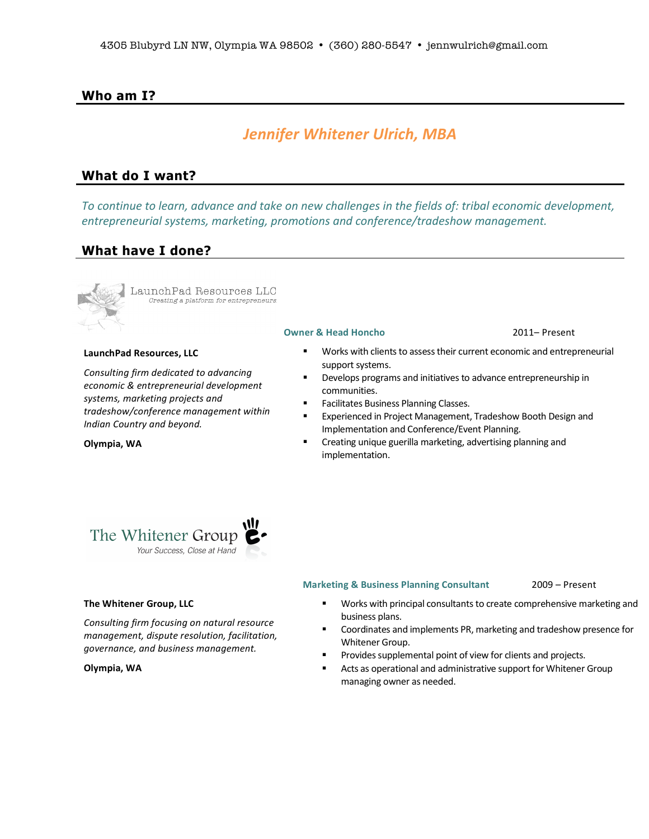# **Who am I?**

# *Jennifer'Whitener'Ulrich,'MBA*

# **What do I want?**

*To continue to learn, advance and take on new challenges in the fields of: tribal economic development, entrepreneurial systems, marketing, promotions and conference/tradeshow management.* 

# **What have I done?**



**Olympia, WA** 

LaunchPad Resources LLC Creating a platform for entrepreneurs.

### **LaunchPad Resources, LLC**

*Consulting firm dedicated to advancing economic#&#entrepreneurial#development# systems,#marketing#projects#and# tradeshow/conference#management#within# Indian Country and beyond.* 

### **Owner & Head Honcho** 2011– Present

- Works with clients to assess their current economic and entrepreneurial support systems.
- Develops programs and initiatives to advance entrepreneurship in communities.
- Facilitates Business Planning Classes.
- **EXperienced in Project Management, Tradeshow Booth Design and** Implementation and Conference/Event Planning.
- Creating unique guerilla marketing, advertising planning and implementation.



### **The!Whitener!Group, LLC**

**Consulting firm focusing on natural resource** *management, dispute resolution, facilitation, governance,#and#business#management.*

### **Olympia, WA**

### **Marketing & Business Planning Consultant** 2009 – Present

- " Works with principal consultants to create comprehensive marketing and business plans.
- Coordinates and implements PR, marketing and tradeshow presence for Whitener Group.
- Provides supplemental point of view for clients and projects.
- **E** Acts as operational and administrative support for Whitener Group managing owner as needed.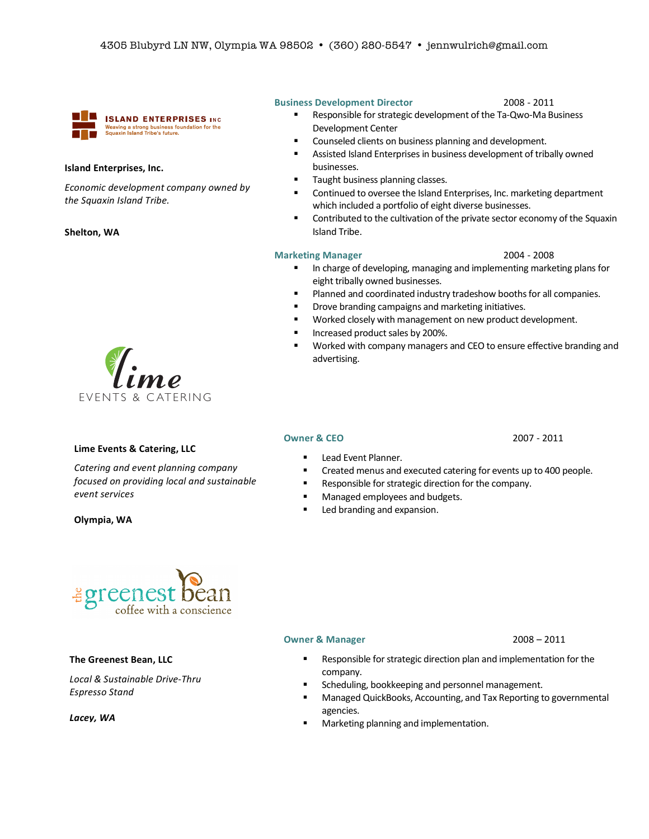

## **Island!Enterprises, Inc.**

*Economic development company owned by the#Squaxin#Island#Tribe.#*

### Shelton, WA



### **Lime Events & Catering, LLC**

*Catering and event planning company focused on providing local and sustainable event#services*

**Olympia, WA** 



### **The Greenest Bean, LLC**

Local & Sustainable Drive-Thru **Espresso Stand** 

*Lacey,'WA*

### **Business Development Director 12008 - 2011**

- " Responsible for strategic development of the Ta-Qwo-Ma Business Development Center
- **EXECOUNSELED COUNSELED COUNSELED FUNCION COUNSELED** COUNSELED **FUNCION** COUNSELED **FUNCION**
- **E** Assisted Island Enterprises in business development of tribally owned businesses.
- Taught business planning classes.
- **E** Continued to oversee the Island Enterprises, Inc. marketing department which included a portfolio of eight diverse businesses.
- $\blacksquare$  Contributed to the cultivation of the private sector economy of the Squaxin Island Tribe.

### **Marketing Manager** 2004 - 2008

- **I.** In charge of developing, managing and implementing marketing plans for eight tribally owned businesses.
- **.** Planned and coordinated industry tradeshow booths for all companies.
- " Drove branding campaigns and marketing initiatives.
- Worked closely with management on new product development.
- **"** Increased product sales by 200%.
- Worked with company managers and CEO to ensure effective branding and advertising.

### **Owner & CEO** 2007 - 2011

- **E** Lead Event Planner.
- Created menus and executed catering for events up to 400 people.
- " Responsible for strategic direction for the company.
- **E** Managed employees and budgets.
- **EXEC** branding and expansion.

### **Owner & Manager** 2008 – 2011

- " Responsible for strategic direction plan and implementation for the company.
- **EXEDENT Scheduling, bookkeeping and personnel management.**
- **"** Managed QuickBooks, Accounting, and Tax Reporting to governmental agencies.
- Marketing planning and implementation.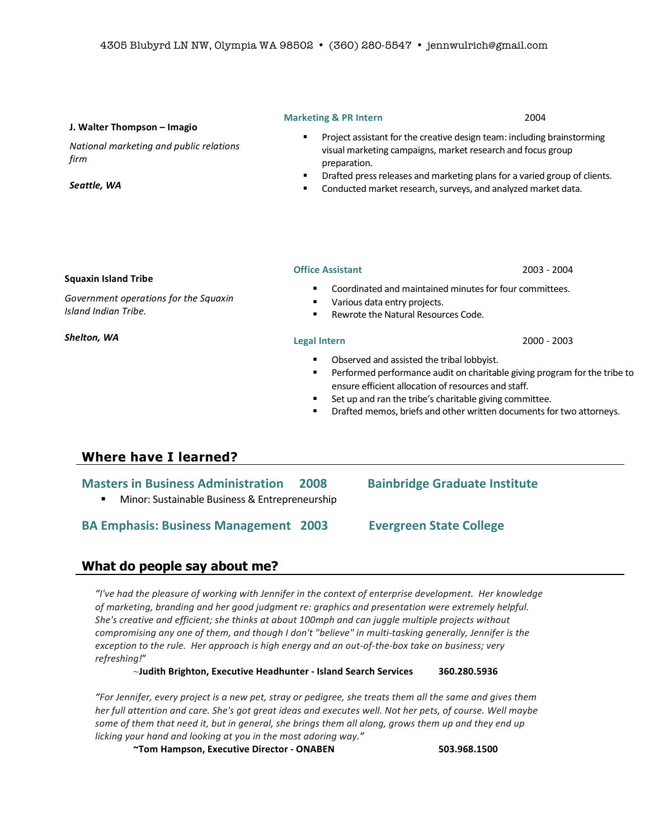### **Marketing & PR Intern**  $\sim$  2004

### **J.!Walter!Thompson!– Imagio**

*National marketing and public relations firm*

*Seattle,'WA'*

- Project assistant for the creative design team: including brainstorming visual marketing campaigns, market research and focus group preparation.
- Drafted press releases and marketing plans for a varied group of clients.
- **E** Conducted market research, surveys, and analyzed market data.

### **Squaxin Island Tribe**

Government operations for the Squaxin *Island Indian Tribe.* 

*Shelton,'WA'*

### **Office Assistant** 2003 - 2004

- Coordinated and maintained minutes for four committees.
- **·** Various data entry projects.
- $\blacksquare$  Rewrote the Natural Resources Code.

- Observed and assisted the tribal lobbyist.
- " Performed performance audit on charitable giving program for the tribe to ensure efficient allocation of resources and staff.
- Set up and ran the tribe's charitable giving committee.
- " Drafted memos, briefs and other written documents for two attorneys.

# **Where have I learned?**

| <b>Masters in Business Administration</b>      | 2008 | <b>Bainbridge Graduate Institute</b> |
|------------------------------------------------|------|--------------------------------------|
| Minor: Sustainable Business & Entrepreneurship |      |                                      |
| <b>BA Emphasis: Business Management 2003</b>   |      | <b>Evergreen State College</b>       |

# **What do people say about me?**

*"I've had the pleasure of working with Jennifer in the context of enterprise development. Her knowledge* of marketing, branding and her good judgment re: graphics and presentation were extremely helpful. She's creative and efficient; she thinks at about 100mph and can juggle multiple projects without compromising any one of them, and though I don't "believe" in multi-tasking generally, Jennifer is the *exception to the rule. Her approach is high energy and an out-of-the-box take on business; very refreshing!*"

 $\sim$ Judith Brighton, Executive Headhunter - Island Search Services 360.280.5936

*"For#Jennifer,#every#project#is#a#new#pet,#stray#or#pedigree,#she#treats#them#all the#same#and#gives#them# her full attention and care. She's got great ideas and executes well. Not her pets, of course. Well maybe* some of them that need it, but in general, she brings them all along, grows them up and they end up licking your hand and looking at you in the most adoring way."

**~Tom!Hampson,!Executive!Director!Q ONABEN! 503.968.1500**

### **Legal Intern** 2000 - 2003